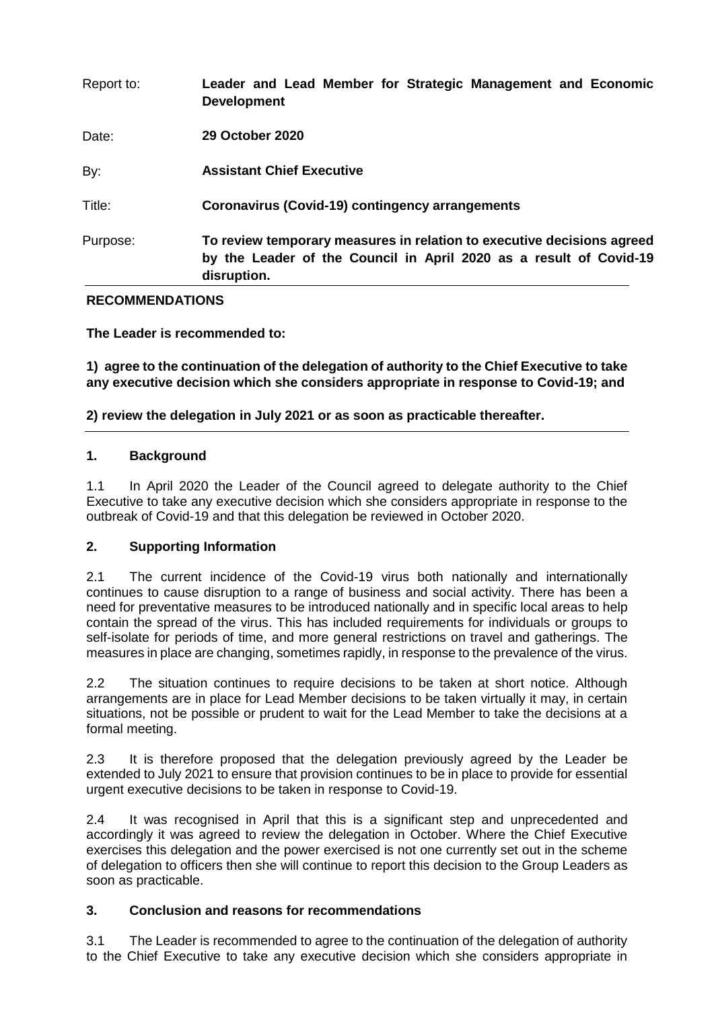| Report to: | Leader and Lead Member for Strategic Management and Economic<br><b>Development</b>                                                                          |
|------------|-------------------------------------------------------------------------------------------------------------------------------------------------------------|
| Date:      | 29 October 2020                                                                                                                                             |
| By:        | <b>Assistant Chief Executive</b>                                                                                                                            |
| Title:     | Coronavirus (Covid-19) contingency arrangements                                                                                                             |
| Purpose:   | To review temporary measures in relation to executive decisions agreed<br>by the Leader of the Council in April 2020 as a result of Covid-19<br>disruption. |

## **RECOMMENDATIONS**

**The Leader is recommended to:** 

**1) agree to the continuation of the delegation of authority to the Chief Executive to take any executive decision which she considers appropriate in response to Covid-19; and**

**2) review the delegation in July 2021 or as soon as practicable thereafter.**

## **1. Background**

1.1 In April 2020 the Leader of the Council agreed to delegate authority to the Chief Executive to take any executive decision which she considers appropriate in response to the outbreak of Covid-19 and that this delegation be reviewed in October 2020.

# **2. Supporting Information**

2.1 The current incidence of the Covid-19 virus both nationally and internationally continues to cause disruption to a range of business and social activity. There has been a need for preventative measures to be introduced nationally and in specific local areas to help contain the spread of the virus. This has included requirements for individuals or groups to self-isolate for periods of time, and more general restrictions on travel and gatherings. The measures in place are changing, sometimes rapidly, in response to the prevalence of the virus.

2.2 The situation continues to require decisions to be taken at short notice. Although arrangements are in place for Lead Member decisions to be taken virtually it may, in certain situations, not be possible or prudent to wait for the Lead Member to take the decisions at a formal meeting.

2.3 It is therefore proposed that the delegation previously agreed by the Leader be extended to July 2021 to ensure that provision continues to be in place to provide for essential urgent executive decisions to be taken in response to Covid-19.

2.4 It was recognised in April that this is a significant step and unprecedented and accordingly it was agreed to review the delegation in October. Where the Chief Executive exercises this delegation and the power exercised is not one currently set out in the scheme of delegation to officers then she will continue to report this decision to the Group Leaders as soon as practicable.

## **3. Conclusion and reasons for recommendations**

3.1 The Leader is recommended to agree to the continuation of the delegation of authority to the Chief Executive to take any executive decision which she considers appropriate in